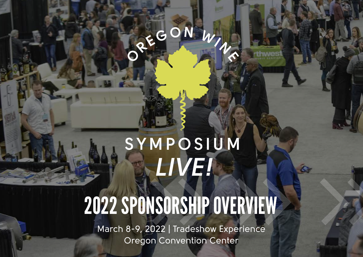# REGON WW

## SYMPOSIUM *LIVE!*

## 2022 SPONSORSHIP OVERVIEW

March 8-9, 2022 | Tradeshow Experience Oregon Convention Center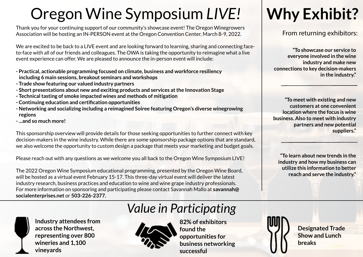## Oregon Wine Symposium *LIVE!*

Thank you for your continuing support of our community's showcase event! The Oregon Winegrowers Association will be hosting an IN-PERSON event at the Oregon Convention Center, March 8-9, 2022.

We are excited to be back to a LIVE event and are looking forward to learning, sharing and connecting faceto-face with all of our friends and colleagues. The OWA is taking the opportunity to reimagine what a live event experience can offer. We are pleased to announce the in-person event will include:

- **Practical, actionable programming focused on climate, business and workforce resiliency including 6 main sessions, breakout seminars and workshops**
- **Trade show featuring our valued industry partners**
- **Short presentations about new and exciting products and services at the Innovation Stage**
- **Technical tasting of smoke impacted wines and methods of mitigation**
- **Continuing education and certification opportunities**
- **Networking and socializing including a reimagined Soiree featuring Oregon's diverse winegrowing regions**
- **...and so much more!**

This sponsorship overview will provide details for those seeking opportunities to further connect with key decision-makers in the wine industry. While there are some sponsorship package options that are standard, we also welcome the opportunity to custom design a package that meets your marketing and budget goals.

Please reach out with any questions as we welcome you all back to the Oregon Wine Symposium LIVE!

The 2022 Oregon Wine Symposium educational programming, presented by the Oregon Wine Board, will be hosted as a virtual event February 15-17. This three-day virtual event will deliver the latest industry research, business practices and education to wine and wine grape industry professionals. For more information on sponsoring and participating please contact Savannah Mallo at **savannah@ socialenterprises.net** or **503-226-2377.**



**Industry attendees from across the Northwest, representing over 800 wineries and 1,100 vineyards**

### *Value in Participating*



**82% of exhibitors found the opportunities for business networking successful**

## **Why Exhibit?**

#### From returning exhibitors:

**"To showcase our service to everyone involved in the wine industry and make new connections to key decision-makers in the industry."**

**"To meet with existing and new customers at one convenient location where the focus is wine business. Also to meet with industry partners and new potential suppliers."**

**"To learn about new trends in the industry and how my business can utilize this information to better reach and serve the industry."**

> **Designated Trade Show and Lunch breaks**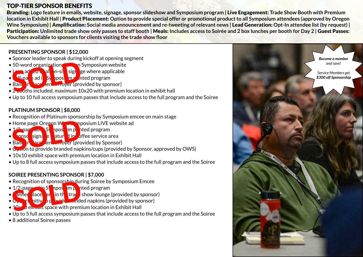#### TOP-TIER SPONSOR BENEFITS

Branding: **Logo feature in emails, website, signage, sponsor slideshow and Symposium program |** Live Engagement: **Trade Show Booth with Premium location in Exhibit Hall |** Product Placement: **Option to provide special offer or promotional product to all Symposium attendees (approved by Oregon Wine Symposium) | Amplification: Social media announcement and re-tweeting of relevant news | Lead Generation: Opt-In attendee list (by request) |** Participation: Unlimited trade show only passes to staff booth | Meals: Includes access to Soirée and 2 box lunches per booth for Day 2 | Guest Passes: **Vouchers available to sponsors for clients visiting the trade show floor**

#### **PRESENTING SPONSOR | \$12,000**

- Sponsor leader to speak during kickoff at opening segment
- $\bullet$  50-word organization  $\bullet$   $\bullet$  on Symposium website
- $\bullet$  Logo added to all on-site signage where applicable
- $\bullet$  Full-page ad in  $5v$  apposition printed program
- Banner placement in foyer (provided by sponsor)
- $\bullet$  2 booths included, maximum 10x20 with premium location in exhibit hall
- Up to 10 full access symposium passes that include access to the full program and the Soiree

#### **PLATINUM SPONSOR | \$8,000**

- Recognition of Platinum sponsorship by Symposium emcee on main stage
- Home page Oregon Wing Symposium LIVE website ad
- 1/2-page ad Symposium printed program
- $\bullet$  sponsor signage fractured in  $\bullet$  offee service area Home page Oregon William of the Contract of the Contract of the Contract of the Contract of the Contract of the District of the Contract of the product of the Contract of the product of the contract of the contract of the
- Ban<sub>ner</sub> replace the latter over (provided by Sponsor)
- C<sub>ptio</sub>n to provide branded napkins/cups (provided by Sponsor, approved by OWS)
- 10x10 exhibit space with premium location in Exhibit Hall
- Up to 8 full access symposium passes that include access to the full program and the Soiree

#### **SOIREE PRESENTING SPONSOR | \$7,000**

- Recognition of sponsorship during Soiree by Symposium Emcee
- $\bullet$  1/2-page ad in S<sub>printed</sub> in printed program
- **Fanner dace entitle trade show lounge (provided by sponsor)**
- $\sigma_{\rm p}$  or  $\sigma_{\rm b}$  itive by  $\sigma_{\rm p}$  wide  $\sigma_{\rm p}$  ded napkins (provided by sponsor)
- $\bullet$  10 $\times$  ) exhibit space with premium location in Exhibit Hall Recognition or sponsorship during<br>
1/2-page times sponsorship during<br>
anner lace en in the tracture
- Up to 5 full access symposium passes that include access to the full program and the Soiree
- 8 additional Soiree passes

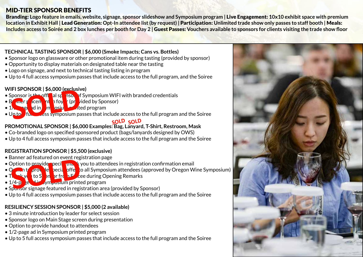#### MID-TIER SPONSOR BENEFITS

Branding: **Logo feature in emails, website, signage, sponsor slideshow and Symposium program |** Live Engagement: **10x10 exhibit space with premium location in Exhibit Hall |** Lead Generation: **Opt-In attendee list (by request) |** Participation: **Unlimited trade show only passes to staff booth |** Meals: **Includes access to Soirée and 2 box lunches per booth for Day 2 |** Guest Passes: **Vouchers available to sponsors for clients visiting the trade show floor**

#### **TECHNICAL TASTING SPONSOR | \$6,000 (Smoke Impacts; Cans vs. Bottles)**

- Sponsor logo on glassware or other promotional item during tasting (provided by sponsor)
- Opportunity to display materials on designated table near the tasting
- Logo on signage, and next to technical tasting listing in program
- Up to 4 full access symposium passes that include access to the full program, and the Soiree

#### **WIFI SPONSOR | \$6,000 (exclusive)**

- Sponsor is the official spansor of Symposium WIFI with branded credentials
- $\bullet$  B and placement in foyer (provided by Sponsor)
- $\bullet$  1/2  $\bullet$   $\bullet$  ad in  $\bullet$  /n  $\bullet$  osium printed program **SPONSOR 1 30,000 (EXCITENT**<br> **SPONSOR 1 30 of The SOLD**<br> **SPONSOR 1 30 of The SOLD**<br> **SPONSOR 1 30 of The SOLD**<br> **SPONSOR 1 30 of The SOLD**<br> **SPONSOR 1 40 of The SOLD**
- $\bullet$  Up to  $\bullet$  full acsess symposium passes that include access to the full program and the Soiree

#### **SOLD SOLD**

#### **PROMOTIONAL SPONSOR | \$6,000 Examples: Bag, Lanyard, T-Shirt, Restroom, Mask**

- Co-branded logo on specified sponsored product (bags/lanyards designed by OWS)
- Up to 4 full access symposium passes that include access to the full program and the Soiree

#### **REGISTRATION SPONSOR | \$5,500 (exclusive)**

- Banner ad featured on event registration page
- Option to provide peci**onal is v** you to attendees in registration confirmation email
- Option to provide special offer to all Symposium attendees (approved by Oregon Wine Symposium)
- $T_{\text{max}}$  to S<sub>pons</sub>or from Equation Covening Remarks
- $\bullet$  1/4-page and in Symposium printed program Deption to provide peci **une**<br>
Sold to S on or frequency of the contract of the contract of the contract of the contract of the contract of the contract of the contract of the contract of the contract of the contract of th
- Sponsor signage featured in registration area (provided by Sponsor)
- Up to 4 full access symposium passes that include access to the full program and the Soiree

#### **RESILIENCY SESSION SPONSOR | \$5,000 (2 available)**

- 3 minute introduction by leader for select session
- Sponsor logo on Main Stage screen during presentation
- Option to provide handout to attendees
- 1/2-page ad in Symposium printed program
- Up to 5 full access symposium passes that include access to the full program and the Soiree

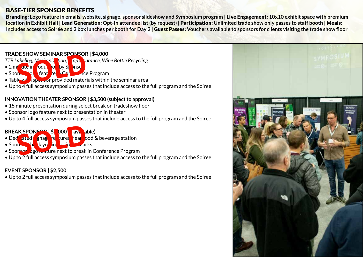#### BASE-TIER SPONSOR BENEFITS

Branding: **Logo feature in emails, website, signage, sponsor slideshow and Symposium program |** Live Engagement: **10x10 exhibit space with premium location in Exhibit Hall |** Lead Generation: **Opt-In attendee list (by request) |** Participation: **Unlimited trade show only passes to staff booth |** Meals: **Includes access to Soirée and 2 box lunches per booth for Day 2 |** Guest Passes: **Vouchers available to sponsors for clients visiting the trade show floor**

#### **TRADE SHOW SEMINAR SPONSOR | \$4,000**

- *TTB Labeling, Mechanization, Cop Burance, Wine Bottle Recycling*
- $\bullet$  2 minute introduction by Sponsor **SENDW SEMINAR SPORTSON**<br> *Sold* and sold and sold and sports of the state of the state of the state of the state of the state of the state of the state of the state of the state of the state of the state of the state of t
- Sponsor logo feature in Conference Program
- Table with sponsor provided materials within the seminar area
- Up to 4 full access symposium passes that include access to the full program and the Soiree

#### **INNOVATION THEATER SPONSOR | \$3,500 (subject to approval)**

- 15 minute presentation during select break on tradeshow floor
- Sponsor logo feature next to presentation in theater
- Up to 4 full access symposium passes that include access to the full program and the Soiree

### **BREAK SPONSOR | \$1,000 (20)** available) **SPONSOP \$1000 ave**<br>Street snag fe tured heart deal

- Dedicated sings featured near bod & beverage station
- Sponsor thank you in closing remarks
- Sponsor Jgo Feature next to break in Conference Program
- Up to 2 full access symposium passes that include access to the full program and the Soiree

#### **EVENT SPONSOR | \$2,500**

• Up to 2 full access symposium passes that include access to the full program and the Soiree